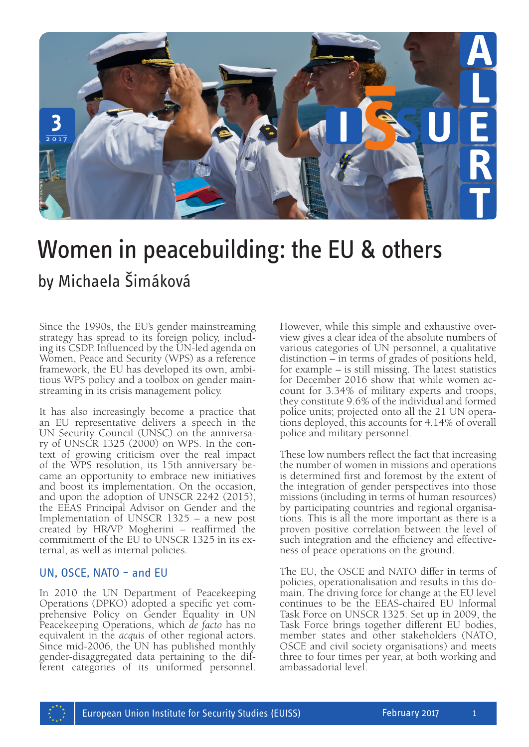

## Women in peacebuilding: the EU & others **Bandista (Bandista)**<br>By Michaela Šimáková<br>By Michaela Šimáková

Since the 1990s, the EU's gender mainstreaming strategy has spread to its foreign policy, including its CSDP. Influenced by the UN-led agenda on Women, Peace and Security (WPS) as a reference framework, the EU has developed its own, ambi- tious WPS policy and a toolbox on gender mainstreaming in its crisis management policy.

It has also increasingly become a practice that an EU representative delivers a speech in the UN Security Council (UNSC) on the anniversa- ry of UNSCR 1325 (2000) on WPS. In the context of growing criticism over the real impact of the WPS resolution, its 15th anniversary be- came an opportunity to embrace new initiatives and boost its implementation. On the occasion, and upon the adoption of UNSCR 2242 (2015), the EEAS Principal Advisor on Gender and the Implementation of UNSCR 1325 – a new post created by HR/VP Mogherini – reaffirmed the commitment of the EU to UNSCR 1325 in its ex- ternal, as well as internal policies.

## UN, OSCE, NATO – and EU

In 2010 the UN Department of Peacekeeping Operations (DPKO) adopted a specific yet comprehensive Policy on Gender Equality in UN Peacekeeping Operations, which *de facto* has no equivalent in the *acquis* of other regional actors. Since mid-2006, the UN has published monthly gender-disaggregated data pertaining to the different categories of its uniformed personnel.

However, while this simple and exhaustive overview gives a clear idea of the absolute numbers of various categories of UN personnel, a qualitative distinction – in terms of grades of positions held, for example – is still missing. The latest statistics for December 2016 show that while women account for 3.34% of military experts and troops, they constitute 9.6% of the individual and formed police units; projected onto all the 21 UN opera- tions deployed, this accounts for 4.14% of overall police and military personnel.

These low numbers reflect the fact that increasing the number of women in missions and operations is determined first and foremost by the extent of the integration of gender perspectives into those missions (including in terms of human resources)<br>by participating countries and regional organisations. This is all the more important as there is a proven positive correlation between the level of such integration and the efficiency and effective- ness of peace operations on the ground.

The EU, the OSCE and NATO differ in terms of policies, operationalisation and results in this do- main. The driving force for change at the EU level continues to be the EEAS-chaired EU Informal Task Force on UNSCR 1325. Set up in 2009, the Task Force brings together different EU bodies, member states and other stakeholders (NATO, OSCE and civil society organisations) and meets three to four times per year, at both working and ambassadorial level.